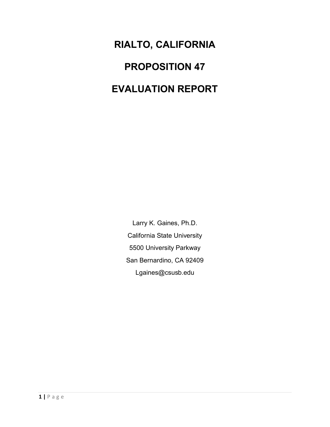**RIALTO, CALIFORNIA PROPOSITION 47 EVALUATION REPORT**

> Larry K. Gaines, Ph.D. California State University 5500 University Parkway San Bernardino, CA 92409 Lgaines@csusb.edu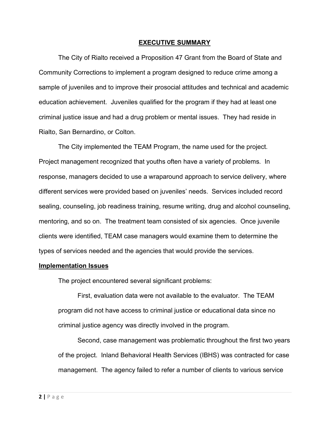#### **EXECUTIVE SUMMARY**

The City of Rialto received a Proposition 47 Grant from the Board of State and Community Corrections to implement a program designed to reduce crime among a sample of juveniles and to improve their prosocial attitudes and technical and academic education achievement. Juveniles qualified for the program if they had at least one criminal justice issue and had a drug problem or mental issues. They had reside in Rialto, San Bernardino, or Colton.

The City implemented the TEAM Program, the name used for the project. Project management recognized that youths often have a variety of problems. In response, managers decided to use a wraparound approach to service delivery, where different services were provided based on juveniles' needs. Services included record sealing, counseling, job readiness training, resume writing, drug and alcohol counseling, mentoring, and so on. The treatment team consisted of six agencies. Once juvenile clients were identified, TEAM case managers would examine them to determine the types of services needed and the agencies that would provide the services.

#### **Implementation Issues**

The project encountered several significant problems:

First, evaluation data were not available to the evaluator. The TEAM program did not have access to criminal justice or educational data since no criminal justice agency was directly involved in the program.

Second, case management was problematic throughout the first two years of the project. Inland Behavioral Health Services (IBHS) was contracted for case management. The agency failed to refer a number of clients to various service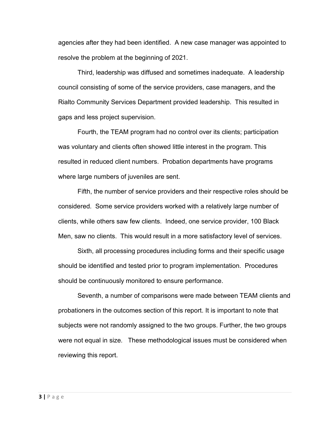agencies after they had been identified. A new case manager was appointed to resolve the problem at the beginning of 2021.

Third, leadership was diffused and sometimes inadequate. A leadership council consisting of some of the service providers, case managers, and the Rialto Community Services Department provided leadership. This resulted in gaps and less project supervision.

Fourth, the TEAM program had no control over its clients; participation was voluntary and clients often showed little interest in the program. This resulted in reduced client numbers. Probation departments have programs where large numbers of juveniles are sent.

Fifth, the number of service providers and their respective roles should be considered. Some service providers worked with a relatively large number of clients, while others saw few clients. Indeed, one service provider, 100 Black Men, saw no clients. This would result in a more satisfactory level of services.

Sixth, all processing procedures including forms and their specific usage should be identified and tested prior to program implementation. Procedures should be continuously monitored to ensure performance.

Seventh, a number of comparisons were made between TEAM clients and probationers in the outcomes section of this report. It is important to note that subjects were not randomly assigned to the two groups. Further, the two groups were not equal in size. These methodological issues must be considered when reviewing this report.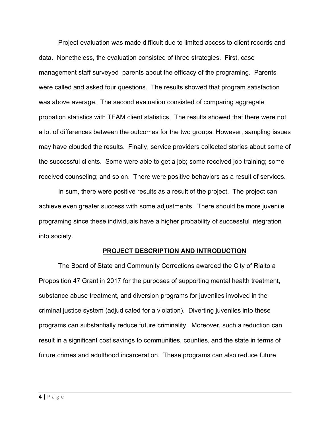Project evaluation was made difficult due to limited access to client records and data. Nonetheless, the evaluation consisted of three strategies. First, case management staff surveyed parents about the efficacy of the programing. Parents were called and asked four questions. The results showed that program satisfaction was above average. The second evaluation consisted of comparing aggregate probation statistics with TEAM client statistics. The results showed that there were not a lot of differences between the outcomes for the two groups. However, sampling issues may have clouded the results. Finally, service providers collected stories about some of the successful clients. Some were able to get a job; some received job training; some received counseling; and so on. There were positive behaviors as a result of services.

In sum, there were positive results as a result of the project. The project can achieve even greater success with some adjustments. There should be more juvenile programing since these individuals have a higher probability of successful integration into society.

#### **PROJECT DESCRIPTION AND INTRODUCTION**

The Board of State and Community Corrections awarded the City of Rialto a Proposition 47 Grant in 2017 for the purposes of supporting mental health treatment, substance abuse treatment, and diversion programs for juveniles involved in the criminal justice system (adjudicated for a violation). Diverting juveniles into these programs can substantially reduce future criminality. Moreover, such a reduction can result in a significant cost savings to communities, counties, and the state in terms of future crimes and adulthood incarceration. These programs can also reduce future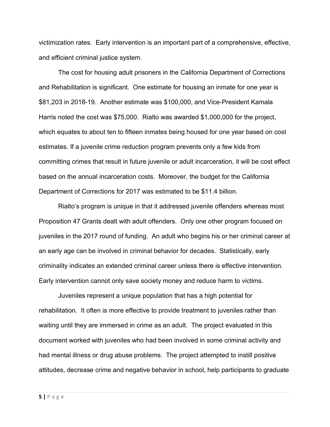victimization rates. Early intervention is an important part of a comprehensive, effective, and efficient criminal justice system.

The cost for housing adult prisoners in the California Department of Corrections and Rehabilitation is significant. One estimate for housing an inmate for one year is \$81,203 in 2018-19. Another estimate was \$100,000, and Vice-President Kamala Harris noted the cost was \$75,000. Rialto was awarded \$1,000,000 for the project, which equates to about ten to fifteen inmates being housed for one year based on cost estimates. If a juvenile crime reduction program prevents only a few kids from committing crimes that result in future juvenile or adult incarceration, it will be cost effect based on the annual incarceration costs. Moreover, the budget for the California Department of Corrections for 2017 was estimated to be \$11.4 billion.

Rialto's program is unique in that it addressed juvenile offenders whereas most Proposition 47 Grants dealt with adult offenders. Only one other program focused on juveniles in the 2017 round of funding. An adult who begins his or her criminal career at an early age can be involved in criminal behavior for decades. Statistically, early criminality indicates an extended criminal career unless there is effective intervention. Early intervention cannot only save society money and reduce harm to victims.

Juveniles represent a unique population that has a high potential for rehabilitation. It often is more effective to provide treatment to juveniles rather than waiting until they are immersed in crime as an adult. The project evaluated in this document worked with juveniles who had been involved in some criminal activity and had mental illness or drug abuse problems. The project attempted to instill positive attitudes, decrease crime and negative behavior in school, help participants to graduate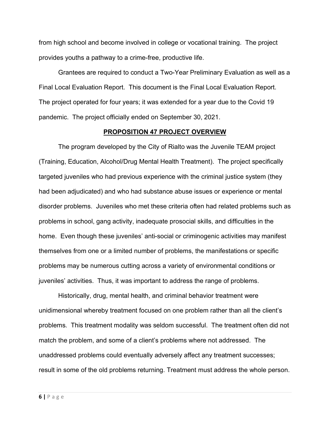from high school and become involved in college or vocational training. The project provides youths a pathway to a crime-free, productive life.

Grantees are required to conduct a Two-Year Preliminary Evaluation as well as a Final Local Evaluation Report. This document is the Final Local Evaluation Report. The project operated for four years; it was extended for a year due to the Covid 19 pandemic. The project officially ended on September 30, 2021.

#### **PROPOSITION 47 PROJECT OVERVIEW**

The program developed by the City of Rialto was the Juvenile TEAM project (Training, Education, Alcohol/Drug Mental Health Treatment). The project specifically targeted juveniles who had previous experience with the criminal justice system (they had been adjudicated) and who had substance abuse issues or experience or mental disorder problems. Juveniles who met these criteria often had related problems such as problems in school, gang activity, inadequate prosocial skills, and difficulties in the home. Even though these juveniles' anti-social or criminogenic activities may manifest themselves from one or a limited number of problems, the manifestations or specific problems may be numerous cutting across a variety of environmental conditions or juveniles' activities. Thus, it was important to address the range of problems.

Historically, drug, mental health, and criminal behavior treatment were unidimensional whereby treatment focused on one problem rather than all the client's problems. This treatment modality was seldom successful. The treatment often did not match the problem, and some of a client's problems where not addressed. The unaddressed problems could eventually adversely affect any treatment successes; result in some of the old problems returning. Treatment must address the whole person.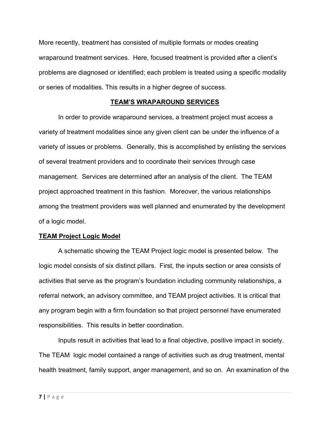More recently, treatment has consisted of multiple formats or modes creating wraparound treatment services. Here, focused treatment is provided after a client's problems are diagnosed or identified; each problem is treated using a specific modality or series of modalities. This results in a higher degree of success.

## **TEAM'S WRAPAROUND SERVICES**

In order to provide wraparound services, a treatment project must access a variety of treatment modalities since any given client can be under the influence of a variety of issues or problems. Generally, this is accomplished by enlisting the services of several treatment providers and to coordinate their services through case management. Services are determined after an analysis of the client. The TEAM project approached treatment in this fashion. Moreover, the various relationships among the treatment providers was well planned and enumerated by the development of a logic model.

## **TEAM Project Logic Model**

A schematic showing the TEAM Project logic model is presented below. The logic model consists of six distinct pillars. First, the inputs section or area consists of activities that serve as the program's foundation including community relationships, a referral network, an advisory committee, and TEAM project activities. It is critical that any program begin with a firm foundation so that project personnel have enumerated responsibilities. This results in better coordination.

Inputs result in activities that lead to a final objective, positive impact in society. The TEAM logic model contained a range of activities such as drug treatment, mental health treatment, family support, anger management, and so on. An examination of the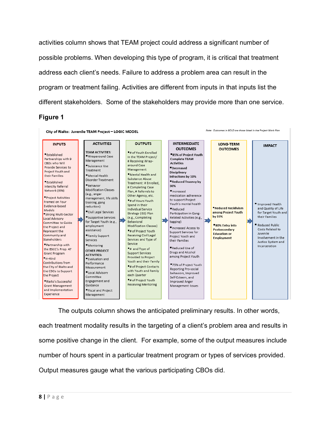activities column shows that TEAM project could address a significant number of possible problems. When developing this type of program, it is critical that treatment address each client's needs. Failure to address a problem area can result in the program or treatment failing. Activities are different from inputs in that inputs list the different stakeholders. Some of the stakeholders may provide more than one service.

#### **Figure 1**



The outputs column shows the anticipated preliminary results. In other words, each treatment modality results in the targeting of a client's problem area and results in some positive change in the client. For example, some of the output measures include number of hours spent in a particular treatment program or types of services provided. Output measures gauge what the various participating CBOs did.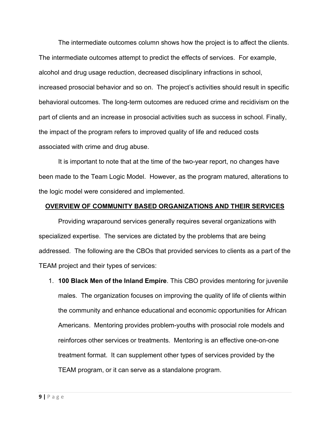The intermediate outcomes column shows how the project is to affect the clients. The intermediate outcomes attempt to predict the effects of services. For example, alcohol and drug usage reduction, decreased disciplinary infractions in school, increased prosocial behavior and so on. The project's activities should result in specific behavioral outcomes. The long-term outcomes are reduced crime and recidivism on the part of clients and an increase in prosocial activities such as success in school. Finally, the impact of the program refers to improved quality of life and reduced costs associated with crime and drug abuse.

It is important to note that at the time of the two-year report, no changes have been made to the Team Logic Model. However, as the program matured, alterations to the logic model were considered and implemented.

#### **OVERVIEW OF COMMUNITY BASED ORGANIZATIONS AND THEIR SERVICES**

Providing wraparound services generally requires several organizations with specialized expertise. The services are dictated by the problems that are being addressed. The following are the CBOs that provided services to clients as a part of the TEAM project and their types of services:

1. **100 Black Men of the Inland Empire**. This CBO provides mentoring for juvenile males. The organization focuses on improving the quality of life of clients within the community and enhance educational and economic opportunities for African Americans. Mentoring provides problem-youths with prosocial role models and reinforces other services or treatments. Mentoring is an effective one-on-one treatment format. It can supplement other types of services provided by the TEAM program, or it can serve as a standalone program.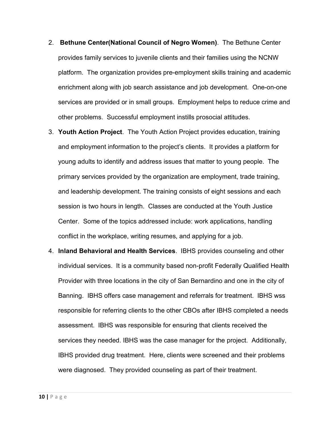- 2. **Bethune Center(National Council of Negro Women)**. The Bethune Center provides family services to juvenile clients and their families using the NCNW platform. The organization provides pre-employment skills training and academic enrichment along with job search assistance and job development. One-on-one services are provided or in small groups. Employment helps to reduce crime and other problems. Successful employment instills prosocial attitudes.
- 3. **Youth Action Project**. The Youth Action Project provides education, training and employment information to the project's clients. It provides a platform for young adults to identify and address issues that matter to young people. The primary services provided by the organization are employment, trade training, and leadership development. The training consists of eight sessions and each session is two hours in length. Classes are conducted at the Youth Justice Center. Some of the topics addressed include: work applications, handling conflict in the workplace, writing resumes, and applying for a job.
- 4. **Inland Behavioral and Health Services**. IBHS provides counseling and other individual services. It is a community based non-profit Federally Qualified Health Provider with three locations in the city of San Bernardino and one in the city of Banning. IBHS offers case management and referrals for treatment. IBHS wss responsible for referring clients to the other CBOs after IBHS completed a needs assessment. IBHS was responsible for ensuring that clients received the services they needed. IBHS was the case manager for the project. Additionally, IBHS provided drug treatment. Here, clients were screened and their problems were diagnosed. They provided counseling as part of their treatment.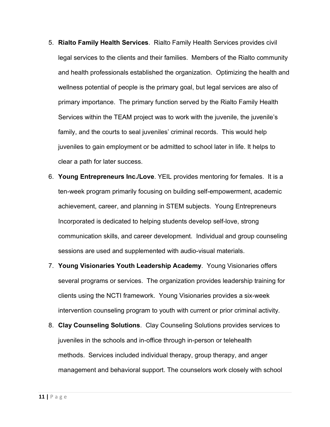- 5. **Rialto Family Health Services**. Rialto Family Health Services provides civil legal services to the clients and their families. Members of the Rialto community and health professionals established the organization. Optimizing the health and wellness potential of people is the primary goal, but legal services are also of primary importance. The primary function served by the Rialto Family Health Services within the TEAM project was to work with the juvenile, the juvenile's family, and the courts to seal juveniles' criminal records. This would help juveniles to gain employment or be admitted to school later in life. It helps to clear a path for later success.
- 6. **Young Entrepreneurs Inc./Love**. YEIL provides mentoring for females. It is a ten-week program primarily focusing on building self-empowerment, academic achievement, career, and planning in STEM subjects. Young Entrepreneurs Incorporated is dedicated to helping students develop self-love, strong communication skills, and career development. Individual and group counseling sessions are used and supplemented with audio-visual materials.
- 7. **Young Visionaries Youth Leadership Academy**. Young Visionaries offers several programs or services. The organization provides leadership training for clients using the NCTI framework. Young Visionaries provides a six-week intervention counseling program to youth with current or prior criminal activity.
- 8. **Clay Counseling Solutions**. Clay Counseling Solutions provides services to juveniles in the schools and in-office through in-person or telehealth methods. Services included individual therapy, group therapy, and anger management and behavioral support. The counselors work closely with school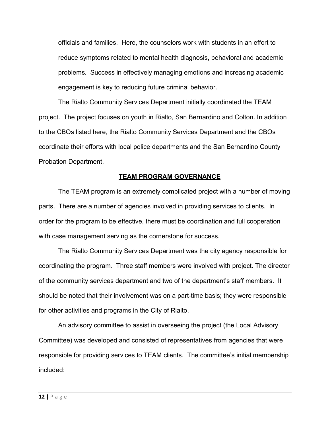officials and families. Here, the counselors work with students in an effort to reduce symptoms related to mental health diagnosis, behavioral and academic problems. Success in effectively managing emotions and increasing academic engagement is key to reducing future criminal behavior.

The Rialto Community Services Department initially coordinated the TEAM project. The project focuses on youth in Rialto, San Bernardino and Colton. In addition to the CBOs listed here, the Rialto Community Services Department and the CBOs coordinate their efforts with local police departments and the San Bernardino County Probation Department.

#### **TEAM PROGRAM GOVERNANCE**

The TEAM program is an extremely complicated project with a number of moving parts. There are a number of agencies involved in providing services to clients. In order for the program to be effective, there must be coordination and full cooperation with case management serving as the cornerstone for success.

The Rialto Community Services Department was the city agency responsible for coordinating the program. Three staff members were involved with project. The director of the community services department and two of the department's staff members. It should be noted that their involvement was on a part-time basis; they were responsible for other activities and programs in the City of Rialto.

An advisory committee to assist in overseeing the project (the Local Advisory Committee) was developed and consisted of representatives from agencies that were responsible for providing services to TEAM clients. The committee's initial membership included: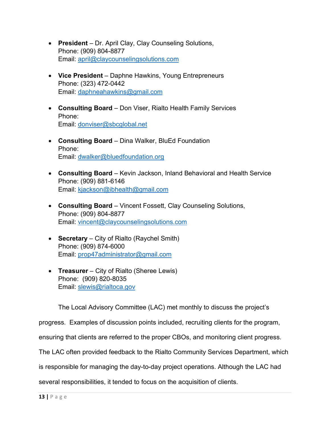- **President** Dr. April Clay, Clay Counseling Solutions, Phone: (909) 804-8877 Email: [april@claycounselingsolutions.com](mailto:april@claycounselingsolutions.com)
- **Vice President** Daphne Hawkins, Young Entrepreneurs Phone: (323) 472-0442 Email: [daphneahawkins@gmail.com](mailto:daphneahawkins@gmail.com)
- **Consulting Board** Don Viser, Rialto Health Family Services Phone: Email: [donviser@sbcglobal.net](mailto:donviser@sbcglobal.net)
- **Consulting Board** Dina Walker, BluEd Foundation Phone: Email: [dwalker@bluedfoundation.org](mailto:dwalker@bluedfoundation.org)
- **Consulting Board** Kevin Jackson, Inland Behavioral and Health Service Phone: (909) 881-6146 Email: [kjackson@ibhealth@gmail.com](mailto:kjackson@ibhealth@gmail.com)
- **Consulting Board** Vincent Fossett, Clay Counseling Solutions, Phone: (909) 804-8877 Email: [vincent@claycounselingsolutions.com](mailto:vincent@claycounselingsolutions.com)
- **Secretary** City of Rialto (Raychel Smith) Phone: (909) 874-6000 Email: [prop47administrator@gmail.com](mailto:prop47administrator@gmail.com)
- **Treasurer** City of Rialto (Sheree Lewis) Phone: (909) 820-8035 Email: [slewis@rialtoca.gov](mailto:slewis@rialtoca.gov)

The Local Advisory Committee (LAC) met monthly to discuss the project's

progress. Examples of discussion points included, recruiting clients for the program,

ensuring that clients are referred to the proper CBOs, and monitoring client progress.

The LAC often provided feedback to the Rialto Community Services Department, which

is responsible for managing the day-to-day project operations. Although the LAC had

several responsibilities, it tended to focus on the acquisition of clients.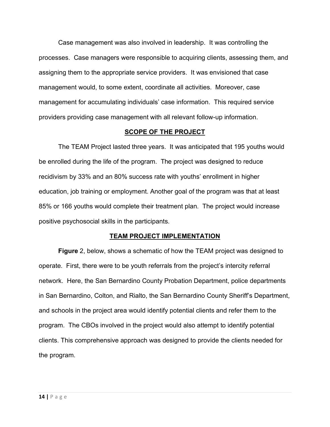Case management was also involved in leadership. It was controlling the processes. Case managers were responsible to acquiring clients, assessing them, and assigning them to the appropriate service providers. It was envisioned that case management would, to some extent, coordinate all activities. Moreover, case management for accumulating individuals' case information. This required service providers providing case management with all relevant follow-up information.

#### **SCOPE OF THE PROJECT**

The TEAM Project lasted three years. It was anticipated that 195 youths would be enrolled during the life of the program. The project was designed to reduce recidivism by 33% and an 80% success rate with youths' enrollment in higher education, job training or employment. Another goal of the program was that at least 85% or 166 youths would complete their treatment plan. The project would increase positive psychosocial skills in the participants.

#### **TEAM PROJECT IMPLEMENTATION**

**Figure** 2, below, shows a schematic of how the TEAM project was designed to operate. First, there were to be youth referrals from the project's intercity referral network. Here, the San Bernardino County Probation Department, police departments in San Bernardino, Colton, and Rialto, the San Bernardino County Sheriff's Department, and schools in the project area would identify potential clients and refer them to the program. The CBOs involved in the project would also attempt to identify potential clients. This comprehensive approach was designed to provide the clients needed for the program.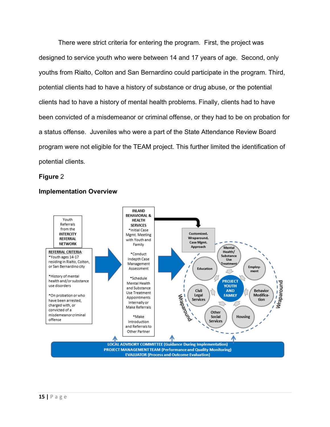There were strict criteria for entering the program. First, the project was designed to service youth who were between 14 and 17 years of age. Second, only youths from Rialto, Colton and San Bernardino could participate in the program. Third, potential clients had to have a history of substance or drug abuse, or the potential clients had to have a history of mental health problems. Finally, clients had to have been convicted of a misdemeanor or criminal offense, or they had to be on probation for a status offense. Juveniles who were a part of the State Attendance Review Board program were not eligible for the TEAM project. This further limited the identification of potential clients.

#### **Figure** 2



## **Implementation Overview**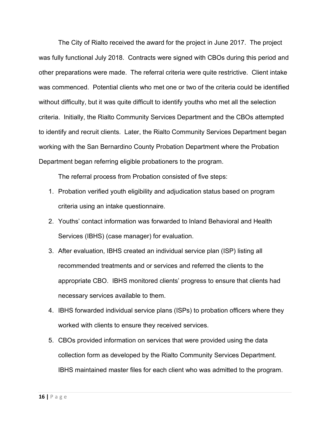The City of Rialto received the award for the project in June 2017. The project was fully functional July 2018. Contracts were signed with CBOs during this period and other preparations were made. The referral criteria were quite restrictive. Client intake was commenced. Potential clients who met one or two of the criteria could be identified without difficulty, but it was quite difficult to identify youths who met all the selection criteria. Initially, the Rialto Community Services Department and the CBOs attempted to identify and recruit clients. Later, the Rialto Community Services Department began working with the San Bernardino County Probation Department where the Probation Department began referring eligible probationers to the program.

The referral process from Probation consisted of five steps:

- 1. Probation verified youth eligibility and adjudication status based on program criteria using an intake questionnaire.
- 2. Youths' contact information was forwarded to Inland Behavioral and Health Services (IBHS) (case manager) for evaluation.
- 3. After evaluation, IBHS created an individual service plan (ISP) listing all recommended treatments and or services and referred the clients to the appropriate CBO. IBHS monitored clients' progress to ensure that clients had necessary services available to them.
- 4. IBHS forwarded individual service plans (ISPs) to probation officers where they worked with clients to ensure they received services.
- 5. CBOs provided information on services that were provided using the data collection form as developed by the Rialto Community Services Department. IBHS maintained master files for each client who was admitted to the program.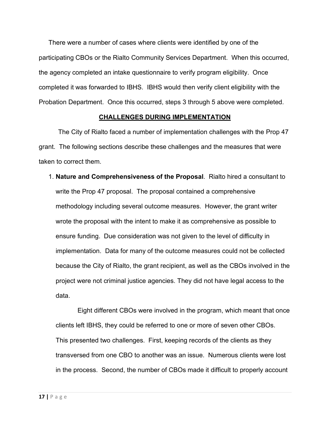There were a number of cases where clients were identified by one of the participating CBOs or the Rialto Community Services Department. When this occurred, the agency completed an intake questionnaire to verify program eligibility. Once completed it was forwarded to IBHS. IBHS would then verify client eligibility with the Probation Department. Once this occurred, steps 3 through 5 above were completed.

#### **CHALLENGES DURING IMPLEMENTATION**

The City of Rialto faced a number of implementation challenges with the Prop 47 grant. The following sections describe these challenges and the measures that were taken to correct them.

1. **Nature and Comprehensiveness of the Proposal**. Rialto hired a consultant to write the Prop 47 proposal. The proposal contained a comprehensive methodology including several outcome measures. However, the grant writer wrote the proposal with the intent to make it as comprehensive as possible to ensure funding. Due consideration was not given to the level of difficulty in implementation. Data for many of the outcome measures could not be collected because the City of Rialto, the grant recipient, as well as the CBOs involved in the project were not criminal justice agencies. They did not have legal access to the data.

Eight different CBOs were involved in the program, which meant that once clients left IBHS, they could be referred to one or more of seven other CBOs. This presented two challenges. First, keeping records of the clients as they transversed from one CBO to another was an issue. Numerous clients were lost in the process. Second, the number of CBOs made it difficult to properly account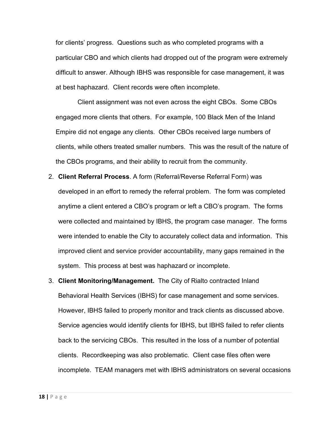for clients' progress. Questions such as who completed programs with a particular CBO and which clients had dropped out of the program were extremely difficult to answer. Although IBHS was responsible for case management, it was at best haphazard. Client records were often incomplete.

Client assignment was not even across the eight CBOs. Some CBOs engaged more clients that others. For example, 100 Black Men of the Inland Empire did not engage any clients. Other CBOs received large numbers of clients, while others treated smaller numbers. This was the result of the nature of the CBOs programs, and their ability to recruit from the community.

- 2. **Client Referral Process**. A form (Referral/Reverse Referral Form) was developed in an effort to remedy the referral problem. The form was completed anytime a client entered a CBO's program or left a CBO's program. The forms were collected and maintained by IBHS, the program case manager. The forms were intended to enable the City to accurately collect data and information. This improved client and service provider accountability, many gaps remained in the system. This process at best was haphazard or incomplete.
- 3. **Client Monitoring/Management.** The City of Rialto contracted Inland Behavioral Health Services (IBHS) for case management and some services. However, IBHS failed to properly monitor and track clients as discussed above. Service agencies would identify clients for IBHS, but IBHS failed to refer clients back to the servicing CBOs. This resulted in the loss of a number of potential clients. Recordkeeping was also problematic. Client case files often were incomplete. TEAM managers met with IBHS administrators on several occasions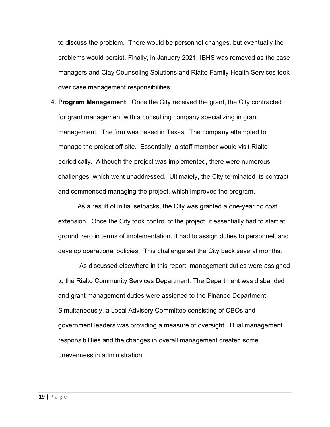to discuss the problem. There would be personnel changes, but eventually the problems would persist. Finally, in January 2021, IBHS was removed as the case managers and Clay Counseling Solutions and Rialto Family Health Services took over case management responsibilities.

4. **Program Management**. Once the City received the grant, the City contracted for grant management with a consulting company specializing in grant management. The firm was based in Texas. The company attempted to manage the project off-site. Essentially, a staff member would visit Rialto periodically. Although the project was implemented, there were numerous challenges, which went unaddressed. Ultimately, the City terminated its contract and commenced managing the project, which improved the program.

As a result of initial setbacks, the City was granted a one-year no cost extension. Once the City took control of the project, it essentially had to start at ground zero in terms of implementation. It had to assign duties to personnel, and develop operational policies. This challenge set the City back several months.

As discussed elsewhere in this report, management duties were assigned to the Rialto Community Services Department. The Department was disbanded and grant management duties were assigned to the Finance Department. Simultaneously, a Local Advisory Committee consisting of CBOs and government leaders was providing a measure of oversight. Dual management responsibilities and the changes in overall management created some unevenness in administration.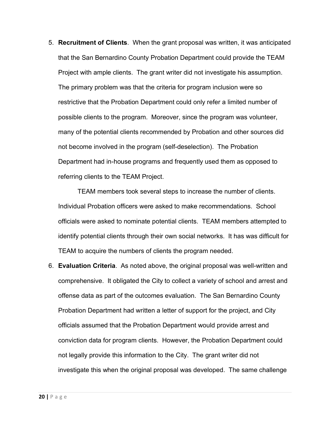5. **Recruitment of Clients**. When the grant proposal was written, it was anticipated that the San Bernardino County Probation Department could provide the TEAM Project with ample clients. The grant writer did not investigate his assumption. The primary problem was that the criteria for program inclusion were so restrictive that the Probation Department could only refer a limited number of possible clients to the program. Moreover, since the program was volunteer, many of the potential clients recommended by Probation and other sources did not become involved in the program (self-deselection). The Probation Department had in-house programs and frequently used them as opposed to referring clients to the TEAM Project.

TEAM members took several steps to increase the number of clients. Individual Probation officers were asked to make recommendations. School officials were asked to nominate potential clients. TEAM members attempted to identify potential clients through their own social networks. It has was difficult for TEAM to acquire the numbers of clients the program needed.

6. **Evaluation Criteria**. As noted above, the original proposal was well-written and comprehensive. It obligated the City to collect a variety of school and arrest and offense data as part of the outcomes evaluation. The San Bernardino County Probation Department had written a letter of support for the project, and City officials assumed that the Probation Department would provide arrest and conviction data for program clients. However, the Probation Department could not legally provide this information to the City. The grant writer did not investigate this when the original proposal was developed. The same challenge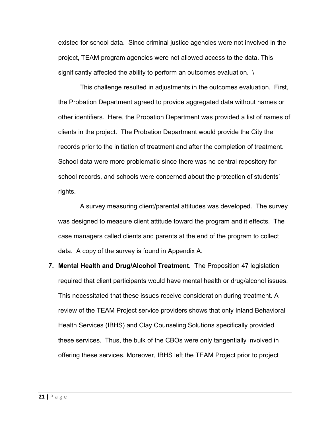existed for school data. Since criminal justice agencies were not involved in the project, TEAM program agencies were not allowed access to the data. This significantly affected the ability to perform an outcomes evaluation.  $\setminus$ 

This challenge resulted in adjustments in the outcomes evaluation. First, the Probation Department agreed to provide aggregated data without names or other identifiers. Here, the Probation Department was provided a list of names of clients in the project. The Probation Department would provide the City the records prior to the initiation of treatment and after the completion of treatment. School data were more problematic since there was no central repository for school records, and schools were concerned about the protection of students' rights.

A survey measuring client/parental attitudes was developed. The survey was designed to measure client attitude toward the program and it effects. The case managers called clients and parents at the end of the program to collect data. A copy of the survey is found in Appendix A.

**7. Mental Health and Drug/Alcohol Treatment.** The Proposition 47 legislation required that client participants would have mental health or drug/alcohol issues. This necessitated that these issues receive consideration during treatment. A review of the TEAM Project service providers shows that only Inland Behavioral Health Services (IBHS) and Clay Counseling Solutions specifically provided these services. Thus, the bulk of the CBOs were only tangentially involved in offering these services. Moreover, IBHS left the TEAM Project prior to project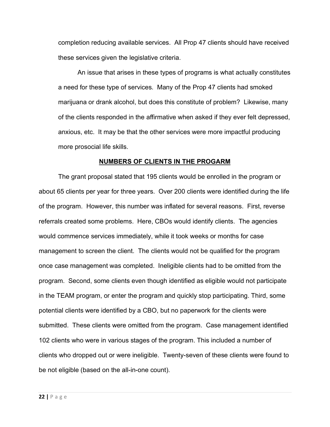completion reducing available services. All Prop 47 clients should have received these services given the legislative criteria.

An issue that arises in these types of programs is what actually constitutes a need for these type of services. Many of the Prop 47 clients had smoked marijuana or drank alcohol, but does this constitute of problem? Likewise, many of the clients responded in the affirmative when asked if they ever felt depressed, anxious, etc. It may be that the other services were more impactful producing more prosocial life skills.

#### **NUMBERS OF CLIENTS IN THE PROGARM**

The grant proposal stated that 195 clients would be enrolled in the program or about 65 clients per year for three years. Over 200 clients were identified during the life of the program. However, this number was inflated for several reasons. First, reverse referrals created some problems. Here, CBOs would identify clients. The agencies would commence services immediately, while it took weeks or months for case management to screen the client. The clients would not be qualified for the program once case management was completed. Ineligible clients had to be omitted from the program. Second, some clients even though identified as eligible would not participate in the TEAM program, or enter the program and quickly stop participating. Third, some potential clients were identified by a CBO, but no paperwork for the clients were submitted. These clients were omitted from the program. Case management identified 102 clients who were in various stages of the program. This included a number of clients who dropped out or were ineligible. Twenty-seven of these clients were found to be not eligible (based on the all-in-one count).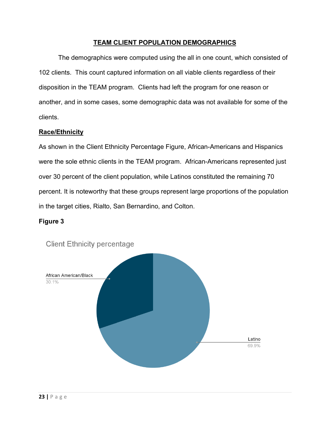## **TEAM CLIENT POPULATION DEMOGRAPHICS**

The demographics were computed using the all in one count, which consisted of 102 clients. This count captured information on all viable clients regardless of their disposition in the TEAM program. Clients had left the program for one reason or another, and in some cases, some demographic data was not available for some of the clients.

## **Race/Ethnicity**

As shown in the Client Ethnicity Percentage Figure, African-Americans and Hispanics were the sole ethnic clients in the TEAM program. African-Americans represented just over 30 percent of the client population, while Latinos constituted the remaining 70 percent. It is noteworthy that these groups represent large proportions of the population in the target cities, Rialto, San Bernardino, and Colton.

## **Figure 3**



**Client Ethnicity percentage**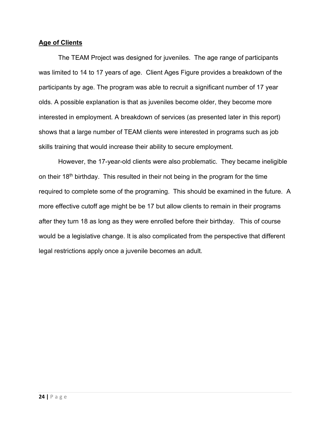#### **Age of Clients**

The TEAM Project was designed for juveniles. The age range of participants was limited to 14 to 17 years of age. Client Ages Figure provides a breakdown of the participants by age. The program was able to recruit a significant number of 17 year olds. A possible explanation is that as juveniles become older, they become more interested in employment. A breakdown of services (as presented later in this report) shows that a large number of TEAM clients were interested in programs such as job skills training that would increase their ability to secure employment.

However, the 17-year-old clients were also problematic. They became ineligible on their  $18<sup>th</sup>$  birthday. This resulted in their not being in the program for the time required to complete some of the programing. This should be examined in the future. A more effective cutoff age might be be 17 but allow clients to remain in their programs after they turn 18 as long as they were enrolled before their birthday. This of course would be a legislative change. It is also complicated from the perspective that different legal restrictions apply once a juvenile becomes an adult.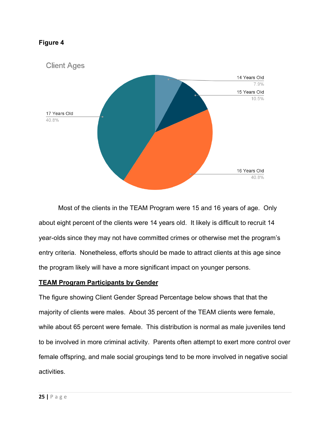

Most of the clients in the TEAM Program were 15 and 16 years of age. Only about eight percent of the clients were 14 years old. It likely is difficult to recruit 14 year-olds since they may not have committed crimes or otherwise met the program's entry criteria. Nonetheless, efforts should be made to attract clients at this age since the program likely will have a more significant impact on younger persons.

## **TEAM Program Participants by Gender**

The figure showing Client Gender Spread Percentage below shows that that the majority of clients were males. About 35 percent of the TEAM clients were female, while about 65 percent were female. This distribution is normal as male juveniles tend to be involved in more criminal activity. Parents often attempt to exert more control over female offspring, and male social groupings tend to be more involved in negative social activities.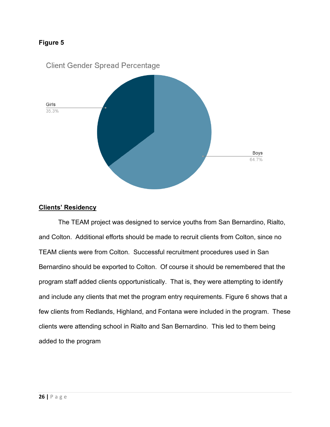

## **Clients' Residency**

The TEAM project was designed to service youths from San Bernardino, Rialto, and Colton. Additional efforts should be made to recruit clients from Colton, since no TEAM clients were from Colton. Successful recruitment procedures used in San Bernardino should be exported to Colton. Of course it should be remembered that the program staff added clients opportunistically. That is, they were attempting to identify and include any clients that met the program entry requirements. Figure 6 shows that a few clients from Redlands, Highland, and Fontana were included in the program. These clients were attending school in Rialto and San Bernardino. This led to them being added to the program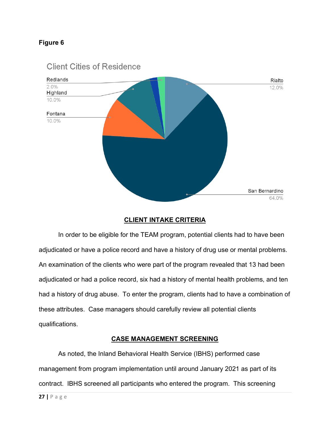

## **Client Cities of Residence**

## **CLIENT INTAKE CRITERIA**

In order to be eligible for the TEAM program, potential clients had to have been adjudicated or have a police record and have a history of drug use or mental problems. An examination of the clients who were part of the program revealed that 13 had been adjudicated or had a police record, six had a history of mental health problems, and ten had a history of drug abuse. To enter the program, clients had to have a combination of these attributes. Case managers should carefully review all potential clients qualifications.

## **CASE MANAGEMENT SCREENING**

As noted, the Inland Behavioral Health Service (IBHS) performed case management from program implementation until around January 2021 as part of its contract. IBHS screened all participants who entered the program. This screening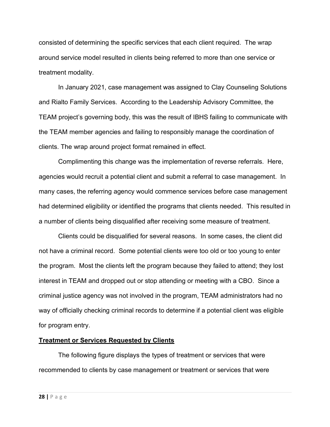consisted of determining the specific services that each client required. The wrap around service model resulted in clients being referred to more than one service or treatment modality.

In January 2021, case management was assigned to Clay Counseling Solutions and Rialto Family Services. According to the Leadership Advisory Committee, the TEAM project's governing body, this was the result of IBHS failing to communicate with the TEAM member agencies and failing to responsibly manage the coordination of clients. The wrap around project format remained in effect.

Complimenting this change was the implementation of reverse referrals. Here, agencies would recruit a potential client and submit a referral to case management. In many cases, the referring agency would commence services before case management had determined eligibility or identified the programs that clients needed. This resulted in a number of clients being disqualified after receiving some measure of treatment.

Clients could be disqualified for several reasons. In some cases, the client did not have a criminal record. Some potential clients were too old or too young to enter the program. Most the clients left the program because they failed to attend; they lost interest in TEAM and dropped out or stop attending or meeting with a CBO. Since a criminal justice agency was not involved in the program, TEAM administrators had no way of officially checking criminal records to determine if a potential client was eligible for program entry.

#### **Treatment or Services Requested by Clients**

The following figure displays the types of treatment or services that were recommended to clients by case management or treatment or services that were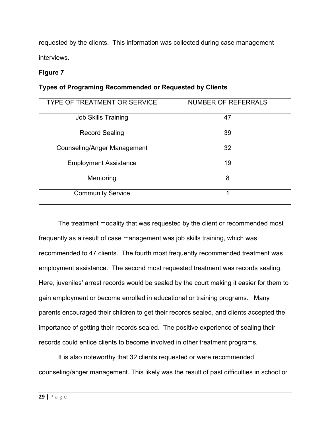requested by the clients. This information was collected during case management interviews.

## **Figure 7**

## **Types of Programing Recommended or Requested by Clients**

| <b>TYPE OF TREATMENT OR SERVICE</b> | <b>NUMBER OF REFERRALS</b> |
|-------------------------------------|----------------------------|
| <b>Job Skills Training</b>          | 47                         |
| <b>Record Sealing</b>               | 39                         |
| <b>Counseling/Anger Management</b>  | 32                         |
| <b>Employment Assistance</b>        | 19                         |
| Mentoring                           | 8                          |
| <b>Community Service</b>            | 1                          |

The treatment modality that was requested by the client or recommended most frequently as a result of case management was job skills training, which was recommended to 47 clients. The fourth most frequently recommended treatment was employment assistance. The second most requested treatment was records sealing. Here, juveniles' arrest records would be sealed by the court making it easier for them to gain employment or become enrolled in educational or training programs. Many parents encouraged their children to get their records sealed, and clients accepted the importance of getting their records sealed. The positive experience of sealing their records could entice clients to become involved in other treatment programs.

It is also noteworthy that 32 clients requested or were recommended counseling/anger management. This likely was the result of past difficulties in school or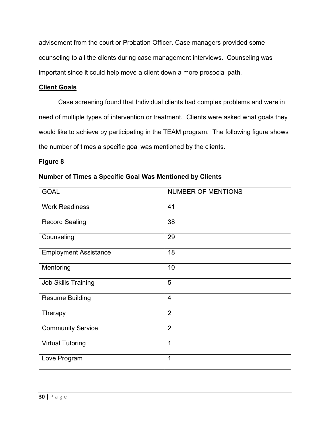advisement from the court or Probation Officer. Case managers provided some counseling to all the clients during case management interviews. Counseling was important since it could help move a client down a more prosocial path.

## **Client Goals**

Case screening found that Individual clients had complex problems and were in need of multiple types of intervention or treatment. Clients were asked what goals they would like to achieve by participating in the TEAM program. The following figure shows the number of times a specific goal was mentioned by the clients.

## **Figure 8**

## **Number of Times a Specific Goal Was Mentioned by Clients**

| <b>GOAL</b>                  | <b>NUMBER OF MENTIONS</b> |
|------------------------------|---------------------------|
| <b>Work Readiness</b>        | 41                        |
| <b>Record Sealing</b>        | 38                        |
| Counseling                   | 29                        |
| <b>Employment Assistance</b> | 18                        |
| Mentoring                    | 10                        |
| <b>Job Skills Training</b>   | 5                         |
| <b>Resume Building</b>       | $\overline{4}$            |
| Therapy                      | $\overline{2}$            |
| <b>Community Service</b>     | 2                         |
| <b>Virtual Tutoring</b>      | $\overline{1}$            |
| Love Program                 | $\mathbf 1$               |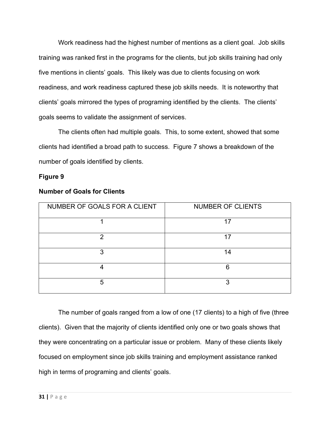Work readiness had the highest number of mentions as a client goal. Job skills training was ranked first in the programs for the clients, but job skills training had only five mentions in clients' goals. This likely was due to clients focusing on work readiness, and work readiness captured these job skills needs. It is noteworthy that clients' goals mirrored the types of programing identified by the clients. The clients' goals seems to validate the assignment of services.

The clients often had multiple goals. This, to some extent, showed that some clients had identified a broad path to success. Figure 7 shows a breakdown of the number of goals identified by clients.

#### **Figure 9**

| NUMBER OF GOALS FOR A CLIENT | <b>NUMBER OF CLIENTS</b> |
|------------------------------|--------------------------|
|                              | 17                       |
| っ                            | 17                       |
| 3                            | 14                       |
|                              | ิค                       |
| 5                            | 3                        |

#### **Number of Goals for Clients**

The number of goals ranged from a low of one (17 clients) to a high of five (three clients). Given that the majority of clients identified only one or two goals shows that they were concentrating on a particular issue or problem. Many of these clients likely focused on employment since job skills training and employment assistance ranked high in terms of programing and clients' goals.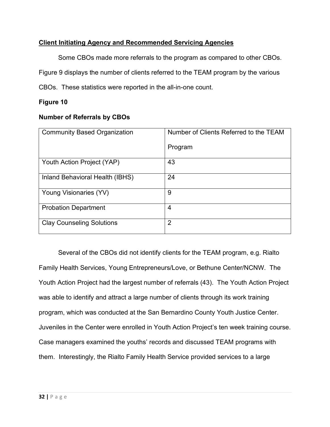## **Client Initiating Agency and Recommended Servicing Agencies**

Some CBOs made more referrals to the program as compared to other CBOs. Figure 9 displays the number of clients referred to the TEAM program by the various CBOs. These statistics were reported in the all-in-one count.

## **Figure 10**

## **Number of Referrals by CBOs**

| <b>Community Based Organization</b> | Number of Clients Referred to the TEAM |
|-------------------------------------|----------------------------------------|
|                                     | Program                                |
| Youth Action Project (YAP)          | 43                                     |
| Inland Behavioral Health (IBHS)     | 24                                     |
| Young Visionaries (YV)              | 9                                      |
| <b>Probation Department</b>         | $\overline{4}$                         |
| <b>Clay Counseling Solutions</b>    | $\overline{2}$                         |

Several of the CBOs did not identify clients for the TEAM program, e.g. Rialto Family Health Services, Young Entrepreneurs/Love, or Bethune Center/NCNW. The Youth Action Project had the largest number of referrals (43). The Youth Action Project was able to identify and attract a large number of clients through its work training program, which was conducted at the San Bernardino County Youth Justice Center. Juveniles in the Center were enrolled in Youth Action Project's ten week training course. Case managers examined the youths' records and discussed TEAM programs with them. Interestingly, the Rialto Family Health Service provided services to a large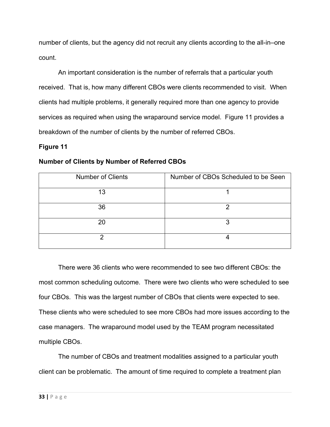number of clients, but the agency did not recruit any clients according to the all-in–one count.

An important consideration is the number of referrals that a particular youth received. That is, how many different CBOs were clients recommended to visit. When clients had multiple problems, it generally required more than one agency to provide services as required when using the wraparound service model. Figure 11 provides a breakdown of the number of clients by the number of referred CBOs.

## **Figure 11**

## **Number of Clients by Number of Referred CBOs**

| <b>Number of Clients</b> | Number of CBOs Scheduled to be Seen |
|--------------------------|-------------------------------------|
| 13                       |                                     |
| 36                       | റ                                   |
| 20                       | າ                                   |
|                          |                                     |

There were 36 clients who were recommended to see two different CBOs: the most common scheduling outcome. There were two clients who were scheduled to see four CBOs. This was the largest number of CBOs that clients were expected to see. These clients who were scheduled to see more CBOs had more issues according to the case managers. The wraparound model used by the TEAM program necessitated multiple CBOs.

The number of CBOs and treatment modalities assigned to a particular youth client can be problematic. The amount of time required to complete a treatment plan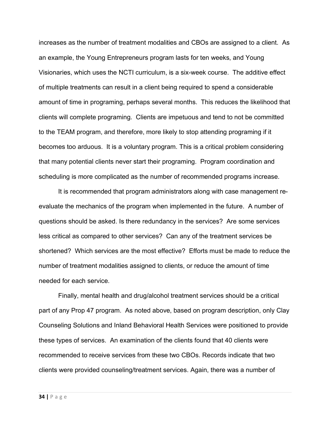increases as the number of treatment modalities and CBOs are assigned to a client. As an example, the Young Entrepreneurs program lasts for ten weeks, and Young Visionaries, which uses the NCTI curriculum, is a six-week course. The additive effect of multiple treatments can result in a client being required to spend a considerable amount of time in programing, perhaps several months. This reduces the likelihood that clients will complete programing. Clients are impetuous and tend to not be committed to the TEAM program, and therefore, more likely to stop attending programing if it becomes too arduous. It is a voluntary program. This is a critical problem considering that many potential clients never start their programing. Program coordination and scheduling is more complicated as the number of recommended programs increase.

It is recommended that program administrators along with case management reevaluate the mechanics of the program when implemented in the future. A number of questions should be asked. Is there redundancy in the services? Are some services less critical as compared to other services? Can any of the treatment services be shortened? Which services are the most effective? Efforts must be made to reduce the number of treatment modalities assigned to clients, or reduce the amount of time needed for each service.

Finally, mental health and drug/alcohol treatment services should be a critical part of any Prop 47 program. As noted above, based on program description, only Clay Counseling Solutions and Inland Behavioral Health Services were positioned to provide these types of services. An examination of the clients found that 40 clients were recommended to receive services from these two CBOs. Records indicate that two clients were provided counseling/treatment services. Again, there was a number of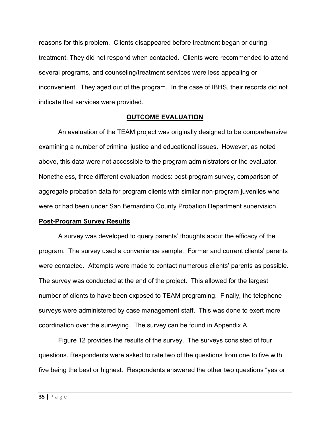reasons for this problem. Clients disappeared before treatment began or during treatment. They did not respond when contacted. Clients were recommended to attend several programs, and counseling/treatment services were less appealing or inconvenient. They aged out of the program. In the case of IBHS, their records did not indicate that services were provided.

#### **OUTCOME EVALUATION**

An evaluation of the TEAM project was originally designed to be comprehensive examining a number of criminal justice and educational issues. However, as noted above, this data were not accessible to the program administrators or the evaluator. Nonetheless, three different evaluation modes: post-program survey, comparison of aggregate probation data for program clients with similar non-program juveniles who were or had been under San Bernardino County Probation Department supervision.

#### **Post-Program Survey Results**

A survey was developed to query parents' thoughts about the efficacy of the program. The survey used a convenience sample. Former and current clients' parents were contacted. Attempts were made to contact numerous clients' parents as possible. The survey was conducted at the end of the project. This allowed for the largest number of clients to have been exposed to TEAM programing. Finally, the telephone surveys were administered by case management staff. This was done to exert more coordination over the surveying. The survey can be found in Appendix A.

Figure 12 provides the results of the survey. The surveys consisted of four questions. Respondents were asked to rate two of the questions from one to five with five being the best or highest. Respondents answered the other two questions "yes or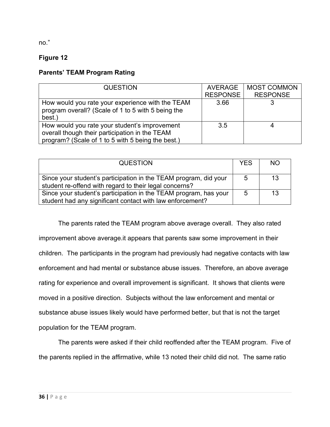no."

## **Figure 12**

## **Parents' TEAM Program Rating**

| <b>QUESTION</b>                                                                                                                                      | <b>AVERAGE</b><br><b>RESPONSE</b> | <b>MOST COMMON</b><br><b>RESPONSE</b> |
|------------------------------------------------------------------------------------------------------------------------------------------------------|-----------------------------------|---------------------------------------|
| How would you rate your experience with the TEAM<br>program overall? (Scale of 1 to 5 with 5 being the<br>best.)                                     | 3.66                              |                                       |
| How would you rate your student's improvement<br>overall though their participation in the TEAM<br>program? (Scale of 1 to 5 with 5 being the best.) | 3.5                               |                                       |

| <b>QUESTION</b>                                                                                                               | <b>YES</b> | <b>NO</b> |
|-------------------------------------------------------------------------------------------------------------------------------|------------|-----------|
| Since your student's participation in the TEAM program, did your<br>student re-offend with regard to their legal concerns?    | -5         | 13        |
| Since your student's participation in the TEAM program, has your<br>student had any significant contact with law enforcement? | -5         | 13        |

The parents rated the TEAM program above average overall. They also rated improvement above average.it appears that parents saw some improvement in their children. The participants in the program had previously had negative contacts with law enforcement and had mental or substance abuse issues. Therefore, an above average rating for experience and overall improvement is significant. It shows that clients were moved in a positive direction. Subjects without the law enforcement and mental or substance abuse issues likely would have performed better, but that is not the target population for the TEAM program.

The parents were asked if their child reoffended after the TEAM program. Five of the parents replied in the affirmative, while 13 noted their child did not. The same ratio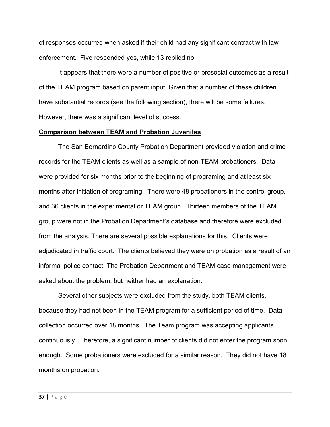of responses occurred when asked if their child had any significant contract with law enforcement. Five responded yes, while 13 replied no.

It appears that there were a number of positive or prosocial outcomes as a result of the TEAM program based on parent input. Given that a number of these children have substantial records (see the following section), there will be some failures. However, there was a significant level of success.

#### **Comparison between TEAM and Probation Juveniles**

The San Bernardino County Probation Department provided violation and crime records for the TEAM clients as well as a sample of non-TEAM probationers. Data were provided for six months prior to the beginning of programing and at least six months after initiation of programing. There were 48 probationers in the control group, and 36 clients in the experimental or TEAM group. Thirteen members of the TEAM group were not in the Probation Department's database and therefore were excluded from the analysis. There are several possible explanations for this. Clients were adjudicated in traffic court. The clients believed they were on probation as a result of an informal police contact. The Probation Department and TEAM case management were asked about the problem, but neither had an explanation.

Several other subjects were excluded from the study, both TEAM clients, because they had not been in the TEAM program for a sufficient period of time. Data collection occurred over 18 months. The Team program was accepting applicants continuously. Therefore, a significant number of clients did not enter the program soon enough. Some probationers were excluded for a similar reason. They did not have 18 months on probation.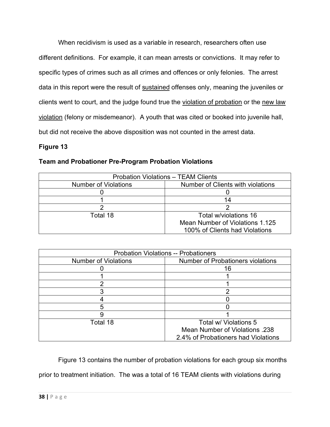When recidivism is used as a variable in research, researchers often use different definitions. For example, it can mean arrests or convictions. It may refer to specific types of crimes such as all crimes and offences or only felonies. The arrest data in this report were the result of sustained offenses only, meaning the juveniles or clients went to court, and the judge found true the violation of probation or the new law violation (felony or misdemeanor). A youth that was cited or booked into juvenile hall, but did not receive the above disposition was not counted in the arrest data.

## **Figure 13**

| <b>Team and Probationer Pre-Program Probation Violations</b> |  |  |
|--------------------------------------------------------------|--|--|
|--------------------------------------------------------------|--|--|

| <b>Probation Violations - TEAM Clients</b> |                                   |  |
|--------------------------------------------|-----------------------------------|--|
| <b>Number of Violations</b>                | Number of Clients with violations |  |
|                                            |                                   |  |
|                                            | 14                                |  |
|                                            |                                   |  |
| Total 18                                   | Total w/violations 16             |  |
|                                            | Mean Number of Violations 1.125   |  |
|                                            | 100% of Clients had Violations    |  |

| <b>Probation Violations -- Probationers</b> |                                          |  |
|---------------------------------------------|------------------------------------------|--|
| <b>Number of Violations</b>                 | <b>Number of Probationers violations</b> |  |
|                                             | 16                                       |  |
|                                             |                                          |  |
|                                             |                                          |  |
|                                             |                                          |  |
|                                             |                                          |  |
|                                             |                                          |  |
|                                             |                                          |  |
| Total 18                                    | Total w/ Violations 5                    |  |
|                                             | Mean Number of Violations 238            |  |
|                                             | 2.4% of Probationers had Violations      |  |

Figure 13 contains the number of probation violations for each group six months prior to treatment initiation. The was a total of 16 TEAM clients with violations during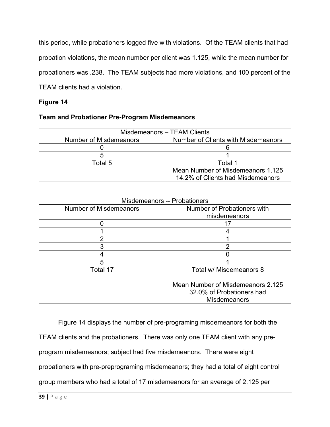this period, while probationers logged five with violations. Of the TEAM clients that had probation violations, the mean number per client was 1.125, while the mean number for probationers was .238. The TEAM subjects had more violations, and 100 percent of the TEAM clients had a violation.

## **Figure 14**

## **Team and Probationer Pre-Program Misdemeanors**

| Misdemeanors - TEAM Clients   |                                     |
|-------------------------------|-------------------------------------|
| <b>Number of Misdemeanors</b> | Number of Clients with Misdemeanors |
|                               |                                     |
|                               |                                     |
| Total 5                       | Total 1                             |
|                               | Mean Number of Misdemeanors 1.125   |
|                               | 14.2% of Clients had Misdemeanors   |

| <b>Misdemeanors -- Probationers</b> |                                                                                       |
|-------------------------------------|---------------------------------------------------------------------------------------|
| <b>Number of Misdemeanors</b>       | Number of Probationers with                                                           |
|                                     | misdemeanors                                                                          |
|                                     | 17                                                                                    |
|                                     |                                                                                       |
| າ                                   |                                                                                       |
| 3                                   | っ                                                                                     |
|                                     |                                                                                       |
| 5                                   |                                                                                       |
| Total 17                            | Total w/ Misdemeanors 8                                                               |
|                                     | Mean Number of Misdemeanors 2.125<br>32.0% of Probationers had<br><b>Misdemeanors</b> |

Figure 14 displays the number of pre-programing misdemeanors for both the TEAM clients and the probationers. There was only one TEAM client with any preprogram misdemeanors; subject had five misdemeanors. There were eight probationers with pre-preprograming misdemeanors; they had a total of eight control group members who had a total of 17 misdemeanors for an average of 2.125 per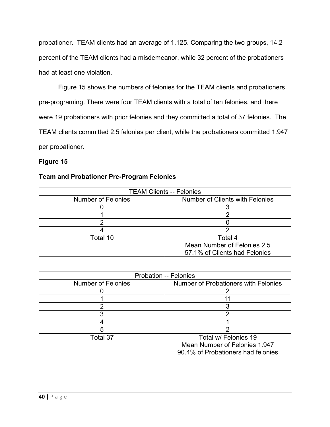probationer. TEAM clients had an average of 1.125. Comparing the two groups, 14.2 percent of the TEAM clients had a misdemeanor, while 32 percent of the probationers had at least one violation.

Figure 15 shows the numbers of felonies for the TEAM clients and probationers pre-programing. There were four TEAM clients with a total of ten felonies, and there were 19 probationers with prior felonies and they committed a total of 37 felonies. The TEAM clients committed 2.5 felonies per client, while the probationers committed 1.947 per probationer.

## **Figure 15**

## **Team and Probationer Pre-Program Felonies**

| <b>TEAM Clients -- Felonies</b> |                                        |
|---------------------------------|----------------------------------------|
| <b>Number of Felonies</b>       | <b>Number of Clients with Felonies</b> |
|                                 |                                        |
|                                 |                                        |
|                                 |                                        |
|                                 |                                        |
| Total 10                        | Total 4                                |
|                                 | Mean Number of Felonies 2.5            |
|                                 | 57.1% of Clients had Felonies          |

| <b>Probation -- Felonies</b> |                                             |
|------------------------------|---------------------------------------------|
| <b>Number of Felonies</b>    | <b>Number of Probationers with Felonies</b> |
|                              |                                             |
|                              |                                             |
|                              |                                             |
|                              |                                             |
|                              |                                             |
|                              |                                             |
| Total 37                     | Total w/ Felonies 19                        |
|                              | Mean Number of Felonies 1.947               |
|                              | 90.4% of Probationers had felonies          |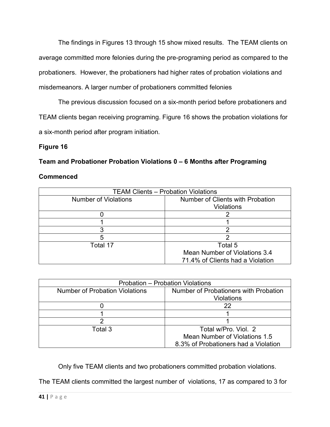The findings in Figures 13 through 15 show mixed results. The TEAM clients on average committed more felonies during the pre-programing period as compared to the probationers. However, the probationers had higher rates of probation violations and misdemeanors. A larger number of probationers committed felonies

The previous discussion focused on a six-month period before probationers and TEAM clients began receiving programing. Figure 16 shows the probation violations for a six-month period after program initiation.

## **Figure 16**

## **Team and Probationer Probation Violations 0 – 6 Months after Programing**

## **Commenced**

| <b>TEAM Clients - Probation Violations</b> |                                                       |
|--------------------------------------------|-------------------------------------------------------|
| <b>Number of Violations</b>                | Number of Clients with Probation<br><b>Violations</b> |
|                                            |                                                       |
|                                            |                                                       |
|                                            |                                                       |
|                                            |                                                       |
| 5                                          |                                                       |
| Total 17                                   | Total 5                                               |
|                                            | Mean Number of Violations 3.4                         |
|                                            | 71.4% of Clients had a Violation                      |

| <b>Probation - Probation Violations</b> |                                       |
|-----------------------------------------|---------------------------------------|
| <b>Number of Probation Violations</b>   | Number of Probationers with Probation |
|                                         | Violations                            |
|                                         | 22                                    |
|                                         |                                       |
|                                         |                                       |
| Total 3                                 | Total w/Pro. Viol. 2                  |
|                                         | Mean Number of Violations 1.5         |
|                                         | 8.3% of Probationers had a Violation  |

Only five TEAM clients and two probationers committed probation violations.

The TEAM clients committed the largest number of violations, 17 as compared to 3 for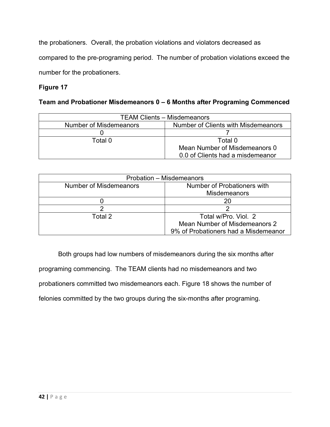the probationers. Overall, the probation violations and violators decreased as

compared to the pre-programing period. The number of probation violations exceed the

number for the probationers.

## **Figure 17**

## **Team and Probationer Misdemeanors 0 – 6 Months after Programing Commenced**

| <b>TEAM Clients – Misdemeanors</b> |                                     |
|------------------------------------|-------------------------------------|
| Number of Misdemeanors             | Number of Clients with Misdemeanors |
|                                    |                                     |
| Total 0                            | Total 0                             |
|                                    | Mean Number of Misdemeanors 0       |
|                                    | 0.0 of Clients had a misdemeanor    |

| Probation - Misdemeanors |                                      |
|--------------------------|--------------------------------------|
| Number of Misdemeanors   | Number of Probationers with          |
|                          | <b>Misdemeanors</b>                  |
|                          | 20                                   |
|                          |                                      |
| Total 2                  | Total w/Pro, Viol. 2                 |
|                          | Mean Number of Misdemeanors 2        |
|                          | 9% of Probationers had a Misdemeanor |

Both groups had low numbers of misdemeanors during the six months after programing commencing. The TEAM clients had no misdemeanors and two probationers committed two misdemeanors each. Figure 18 shows the number of felonies committed by the two groups during the six-months after programing.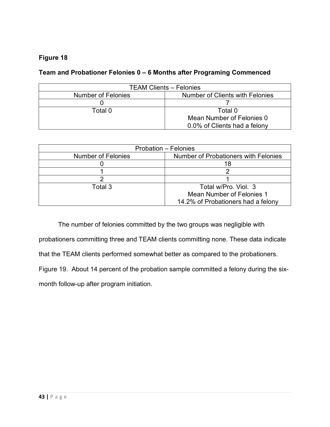## **Team and Probationer Felonies 0 – 6 Months after Programing Commenced**

| <b>TEAM Clients - Felonies</b> |                                        |
|--------------------------------|----------------------------------------|
| <b>Number of Felonies</b>      | <b>Number of Clients with Felonies</b> |
|                                |                                        |
| Total 0                        | Total 0                                |
|                                | Mean Number of Felonies 0              |
|                                | 0.0% of Clients had a felony           |

| Probation - Felonies      |                                      |
|---------------------------|--------------------------------------|
| <b>Number of Felonies</b> | Number of Probationers with Felonies |
|                           |                                      |
|                           |                                      |
|                           |                                      |
| Total 3                   | Total w/Pro, Viol. 3                 |
|                           | Mean Number of Felonies 1            |
|                           | 14.2% of Probationers had a felony   |

The number of felonies committed by the two groups was negligible with probationers committing three and TEAM clients committing none. These data indicate that the TEAM clients performed somewhat better as compared to the probationers. Figure 19. About 14 percent of the probation sample committed a felony during the sixmonth follow-up after program initiation.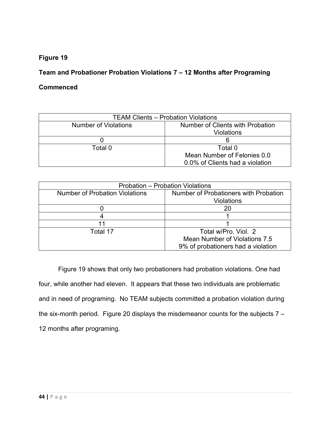## **Team and Probationer Probation Violations 7 – 12 Months after Programing**

## **Commenced**

| <b>TEAM Clients - Probation Violations</b> |                                                       |
|--------------------------------------------|-------------------------------------------------------|
| <b>Number of Violations</b>                | Number of Clients with Probation<br><b>Violations</b> |
|                                            |                                                       |
| Total 0                                    | Total 0                                               |
|                                            | Mean Number of Felonies 0.0                           |
|                                            | 0.0% of Clients had a violation                       |

| <b>Probation - Probation Violations</b> |                                       |
|-----------------------------------------|---------------------------------------|
| <b>Number of Probation Violations</b>   | Number of Probationers with Probation |
|                                         | Violations                            |
|                                         | 20                                    |
|                                         |                                       |
|                                         |                                       |
| Total 17                                | Total w/Pro, Viol. 2                  |
|                                         | Mean Number of Violations 7.5         |
|                                         | 9% of probationers had a violation    |

Figure 19 shows that only two probationers had probation violations. One had four, while another had eleven. It appears that these two individuals are problematic and in need of programing. No TEAM subjects committed a probation violation during the six-month period. Figure 20 displays the misdemeanor counts for the subjects  $7 -$ 12 months after programing.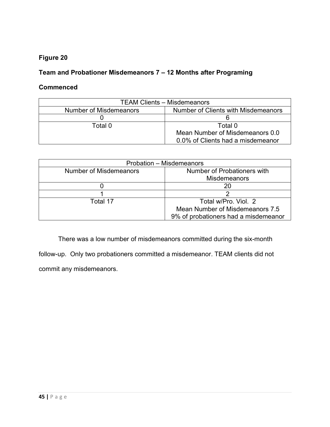## **Team and Probationer Misdemeanors 7 – 12 Months after Programing**

## **Commenced**

| <b>TEAM Clients – Misdemeanors</b> |                                     |
|------------------------------------|-------------------------------------|
| Number of Misdemeanors             | Number of Clients with Misdemeanors |
|                                    |                                     |
| Total 0.                           | Total 0                             |
|                                    | Mean Number of Misdemeanors 0.0     |
|                                    | 0.0% of Clients had a misdemeanor   |

| Probation - Misdemeanors |                                      |
|--------------------------|--------------------------------------|
| Number of Misdemeanors   | Number of Probationers with          |
|                          | <b>Misdemeanors</b>                  |
|                          | 20                                   |
|                          |                                      |
| Total 17                 | Total w/Pro, Viol. 2                 |
|                          | Mean Number of Misdemeanors 7.5      |
|                          | 9% of probationers had a misdemeanor |

There was a low number of misdemeanors committed during the six-month

follow-up. Only two probationers committed a misdemeanor. TEAM clients did not commit any misdemeanors.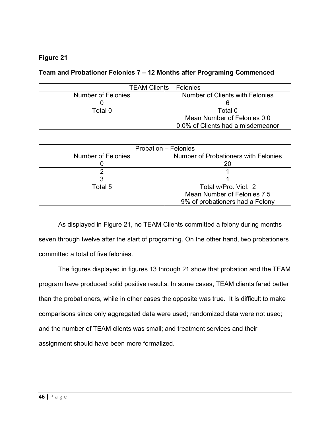## **Team and Probationer Felonies 7 – 12 Months after Programing Commenced**

| <b>TEAM Clients - Felonies</b> |                                   |
|--------------------------------|-----------------------------------|
| <b>Number of Felonies</b>      | Number of Clients with Felonies   |
|                                |                                   |
| Total 0                        | Total 0                           |
|                                | Mean Number of Felonies 0.0       |
|                                | 0.0% of Clients had a misdemeanor |

| Probation - Felonies |                                      |
|----------------------|--------------------------------------|
| Number of Felonies   | Number of Probationers with Felonies |
|                      |                                      |
|                      |                                      |
|                      |                                      |
| Total 5              | Total w/Pro. Viol. 2                 |
|                      | Mean Number of Felonies 7.5          |
|                      | 9% of probationers had a Felony      |

As displayed in Figure 21, no TEAM Clients committed a felony during months seven through twelve after the start of programing. On the other hand, two probationers committed a total of five felonies.

The figures displayed in figures 13 through 21 show that probation and the TEAM program have produced solid positive results. In some cases, TEAM clients fared better than the probationers, while in other cases the opposite was true. It is difficult to make comparisons since only aggregated data were used; randomized data were not used; and the number of TEAM clients was small; and treatment services and their assignment should have been more formalized.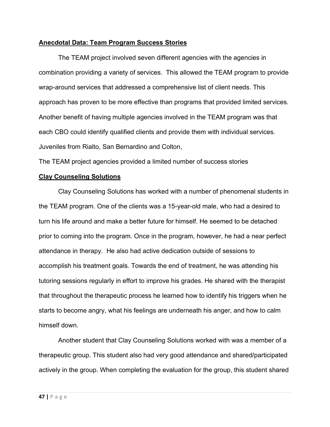## **Anecdotal Data: Team Program Success Stories**

The TEAM project involved seven different agencies with the agencies in combination providing a variety of services. This allowed the TEAM program to provide wrap-around services that addressed a comprehensive list of client needs. This approach has proven to be more effective than programs that provided limited services. Another benefit of having multiple agencies involved in the TEAM program was that each CBO could identify qualified clients and provide them with individual services. Juveniles from Rialto, San Bernardino and Colton,

The TEAM project agencies provided a limited number of success stories

## **Clay Counseling Solutions**

Clay Counseling Solutions has worked with a number of phenomenal students in the TEAM program. One of the clients was a 15-year-old male, who had a desired to turn his life around and make a better future for himself. He seemed to be detached prior to coming into the program. Once in the program, however, he had a near perfect attendance in therapy. He also had active dedication outside of sessions to accomplish his treatment goals. Towards the end of treatment, he was attending his tutoring sessions regularly in effort to improve his grades. He shared with the therapist that throughout the therapeutic process he learned how to identify his triggers when he starts to become angry, what his feelings are underneath his anger, and how to calm himself down.

Another student that Clay Counseling Solutions worked with was a member of a therapeutic group. This student also had very good attendance and shared/participated actively in the group. When completing the evaluation for the group, this student shared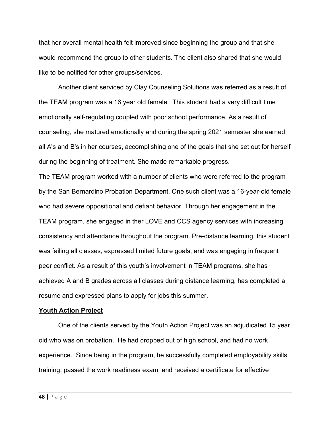that her overall mental health felt improved since beginning the group and that she would recommend the group to other students. The client also shared that she would like to be notified for other groups/services.

Another client serviced by Clay Counseling Solutions was referred as a result of the TEAM program was a 16 year old female. This student had a very difficult time emotionally self-regulating coupled with poor school performance. As a result of counseling, she matured emotionally and during the spring 2021 semester she earned all A's and B's in her courses, accomplishing one of the goals that she set out for herself during the beginning of treatment. She made remarkable progress.

The TEAM program worked with a number of clients who were referred to the program by the San Bernardino Probation Department. One such client was a 16-year-old female who had severe oppositional and defiant behavior. Through her engagement in the TEAM program, she engaged in ther LOVE and CCS agency services with increasing consistency and attendance throughout the program. Pre-distance learning, this student was failing all classes, expressed limited future goals, and was engaging in frequent peer conflict. As a result of this youth's involvement in TEAM programs, she has achieved A and B grades across all classes during distance learning, has completed a resume and expressed plans to apply for jobs this summer.

#### **Youth Action Project**

One of the clients served by the Youth Action Project was an adjudicated 15 year old who was on probation. He had dropped out of high school, and had no work experience. Since being in the program, he successfully completed employability skills training, passed the work readiness exam, and received a certificate for effective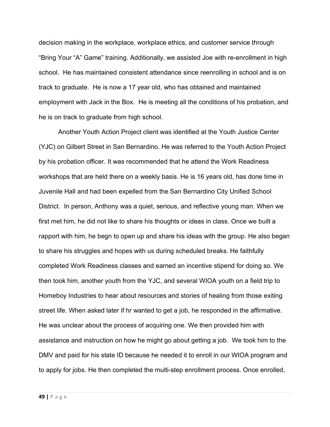decision making in the workplace, workplace ethics, and customer service through "Bring Your "A" Game" training. Additionally, we assisted Joe with re-enrollment in high school. He has maintained consistent attendance since reenrolling in school and is on track to graduate. He is now a 17 year old, who has obtained and maintained employment with Jack in the Box. He is meeting all the conditions of his probation, and he is on track to graduate from high school.

Another Youth Action Project client was identified at the Youth Justice Center (YJC) on Gilbert Street in San Bernardino. He was referred to the Youth Action Project by his probation officer. It was recommended that he attend the Work Readiness workshops that are held there on a weekly basis. He is 16 years old, has done time in Juvenile Hall and had been expelled from the San Bernardino City Unified School District. In person, Anthony was a quiet, serious, and reflective young man. When we first met him, he did not like to share his thoughts or ideas in class. Once we built a rapport with him, he begn to open up and share his ideas with the group. He also began to share his struggles and hopes with us during scheduled breaks. He faithfully completed Work Readiness classes and earned an incentive stipend for doing so. We then took him, another youth from the YJC, and several WIOA youth on a field trip to Homeboy Industries to hear about resources and stories of healing from those exiting street life. When asked later if hr wanted to get a job, he responded in the affirmative. He was unclear about the process of acquiring one. We then provided him with assistance and instruction on how he might go about getting a job. We took him to the DMV and paid for his state ID because he needed it to enroll in our WIOA program and to apply for jobs. He then completed the multi-step enrollment process. Once enrolled,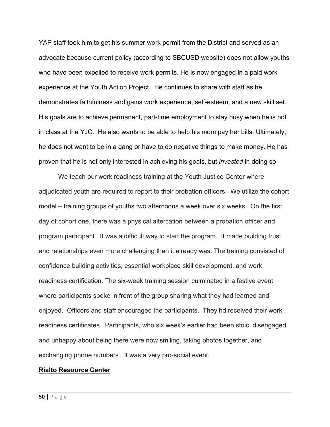YAP staff took him to get his summer work permit from the District and served as an advocate because current policy (according to SBCUSD website) does not allow youths who have been expelled to receive work permits. He is now engaged in a paid work experience at the Youth Action Project. He continues to share with staff as he demonstrates faithfulness and gains work experience, self-esteem, and a new skill set. His goals are to achieve permanent, part-time employment to stay busy when he is not in class at the YJC. He also wants to be able to help his mom pay her bills. Ultimately, he does not want to be in a gang or have to do negative things to make money. He has proven that he is not only interested in achieving his goals, but *invested* in doing so

We teach our work readiness training at the Youth Justice Center where adjudicated youth are required to report to their probation officers. We utilize the cohort model – training groups of youths two afternoons a week over six weeks. On the first day of cohort one, there was a physical altercation between a probation officer and program participant. It was a difficult way to start the program. It made building trust and relationships even more challenging than it already was. The training consisted of confidence building activities, essential workplace skill development, and work readiness certification. The six-week training session culminated in a festive event where participants spoke in front of the group sharing what they had learned and enjoyed. Officers and staff encouraged the participants. They hd received their work readiness certificates. Participants, who six week's earlier had been stoic, disengaged, and unhappy about being there were now smiling, taking photos together, and exchanging phone numbers. It was a very pro-social event.

#### **Rialto Resource Center**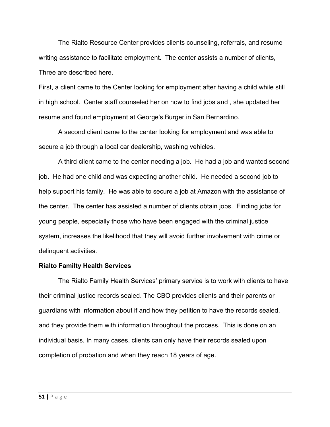The Rialto Resource Center provides clients counseling, referrals, and resume writing assistance to facilitate employment. The center assists a number of clients, Three are described here.

First, a client came to the Center looking for employment after having a child while still in high school. Center staff counseled her on how to find jobs and , she updated her resume and found employment at George's Burger in San Bernardino.

A second client came to the center looking for employment and was able to secure a job through a local car dealership, washing vehicles.

A third client came to the center needing a job. He had a job and wanted second job. He had one child and was expecting another child. He needed a second job to help support his family. He was able to secure a job at Amazon with the assistance of the center. The center has assisted a number of clients obtain jobs. Finding jobs for young people, especially those who have been engaged with the criminal justice system, increases the likelihood that they will avoid further involvement with crime or delinquent activities.

#### **Rialto Familty Health Services**

The Rialto Family Health Services' primary service is to work with clients to have their criminal justice records sealed. The CBO provides clients and their parents or guardians with information about if and how they petition to have the records sealed, and they provide them with information throughout the process. This is done on an individual basis. In many cases, clients can only have their records sealed upon completion of probation and when they reach 18 years of age.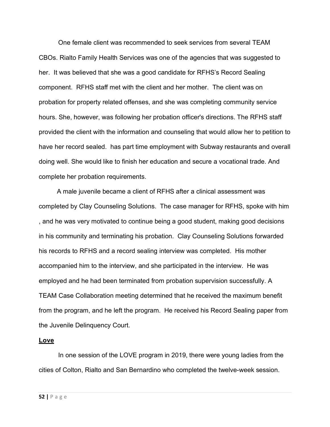One female client was recommended to seek services from several TEAM CBOs. Rialto Family Health Services was one of the agencies that was suggested to her. It was believed that she was a good candidate for RFHS's Record Sealing component. RFHS staff met with the client and her mother. The client was on probation for property related offenses, and she was completing community service hours. She, however, was following her probation officer's directions. The RFHS staff provided the client with the information and counseling that would allow her to petition to have her record sealed. has part time employment with Subway restaurants and overall doing well. She would like to finish her education and secure a vocational trade. And complete her probation requirements.

 A male juvenile became a client of RFHS after a clinical assessment was completed by Clay Counseling Solutions. The case manager for RFHS, spoke with him , and he was very motivated to continue being a good student, making good decisions in his community and terminating his probation. Clay Counseling Solutions forwarded his records to RFHS and a record sealing interview was completed. His mother accompanied him to the interview, and she participated in the interview. He was employed and he had been terminated from probation supervision successfully. A TEAM Case Collaboration meeting determined that he received the maximum benefit from the program, and he left the program. He received his Record Sealing paper from the Juvenile Delinquency Court.

#### **Love**

In one session of the LOVE program in 2019, there were young ladies from the cities of Colton, Rialto and San Bernardino who completed the twelve-week session.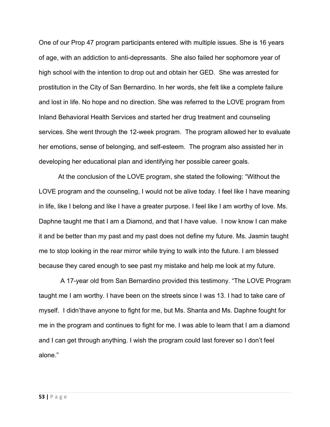One of our Prop 47 program participants entered with multiple issues. She is 16 years of age, with an addiction to anti-depressants. She also failed her sophomore year of high school with the intention to drop out and obtain her GED. She was arrested for prostitution in the City of San Bernardino. In her words, she felt like a complete failure and lost in life. No hope and no direction. She was referred to the LOVE program from Inland Behavioral Health Services and started her drug treatment and counseling services. She went through the 12-week program. The program allowed her to evaluate her emotions, sense of belonging, and self-esteem. The program also assisted her in developing her educational plan and identifying her possible career goals.

At the conclusion of the LOVE program, she stated the following: "Without the LOVE program and the counseling, I would not be alive today. I feel like I have meaning in life, like I belong and like I have a greater purpose. I feel like I am worthy of love. Ms. Daphne taught me that I am a Diamond, and that I have value. I now know I can make it and be better than my past and my past does not define my future. Ms. Jasmin taught me to stop looking in the rear mirror while trying to walk into the future. I am blessed because they cared enough to see past my mistake and help me look at my future.

 A 17-year old from San Bernardino provided this testimony. "The LOVE Program taught me I am worthy. I have been on the streets since I was 13. I had to take care of myself. I didn'thave anyone to fight for me, but Ms. Shanta and Ms. Daphne fought for me in the program and continues to fight for me. I was able to learn that I am a diamond and I can get through anything. I wish the program could last forever so I don't feel alone."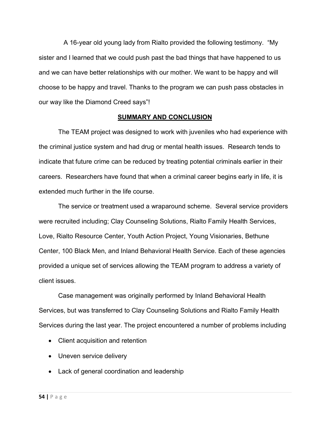A 16-year old young lady from Rialto provided the following testimony. "My sister and I learned that we could push past the bad things that have happened to us and we can have better relationships with our mother. We want to be happy and will choose to be happy and travel. Thanks to the program we can push pass obstacles in our way like the Diamond Creed says"!

#### **SUMMARY AND CONCLUSION**

The TEAM project was designed to work with juveniles who had experience with the criminal justice system and had drug or mental health issues. Research tends to indicate that future crime can be reduced by treating potential criminals earlier in their careers. Researchers have found that when a criminal career begins early in life, it is extended much further in the life course.

The service or treatment used a wraparound scheme. Several service providers were recruited including; Clay Counseling Solutions, Rialto Family Health Services, Love, Rialto Resource Center, Youth Action Project, Young Visionaries, Bethune Center, 100 Black Men, and Inland Behavioral Health Service. Each of these agencies provided a unique set of services allowing the TEAM program to address a variety of client issues.

Case management was originally performed by Inland Behavioral Health Services, but was transferred to Clay Counseling Solutions and Rialto Family Health Services during the last year. The project encountered a number of problems including

- Client acquisition and retention
- Uneven service delivery
- Lack of general coordination and leadership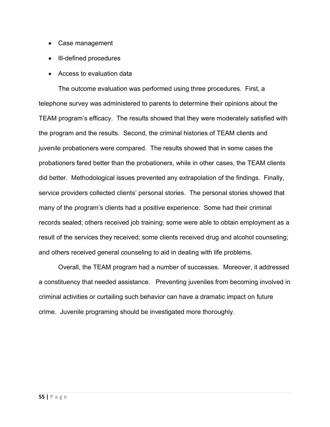- Case management
- Ill-defined procedures
- Access to evaluation data

The outcome evaluation was performed using three procedures. First, a telephone survey was administered to parents to determine their opinions about the TEAM program's efficacy. The results showed that they were moderately satisfied with the program and the results. Second, the criminal histories of TEAM clients and juvenile probationers were compared. The results showed that in some cases the probationers fared better than the probationers, while in other cases, the TEAM clients did better. Methodological issues prevented any extrapolation of the findings. Finally, service providers collected clients' personal stories. The personal stories showed that many of the program's clients had a positive experience. Some had their criminal records sealed; others received job training; some were able to obtain employment as a result of the services they received; some clients received drug and alcohol counseling; and others received general counseling to aid in dealing with life problems.

Overall, the TEAM program had a number of successes. Moreover, it addressed a constituency that needed assistance. Preventing juveniles from becoming involved in criminal activities or curtailing such behavior can have a dramatic impact on future crime. Juvenile programing should be investigated more thoroughly.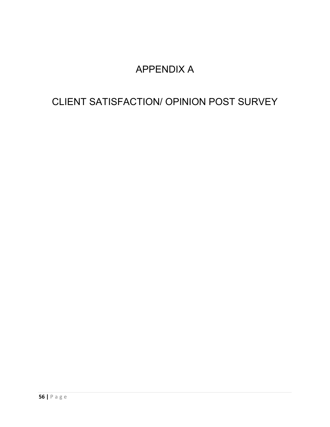## APPENDIX A

## CLIENT SATISFACTION/ OPINION POST SURVEY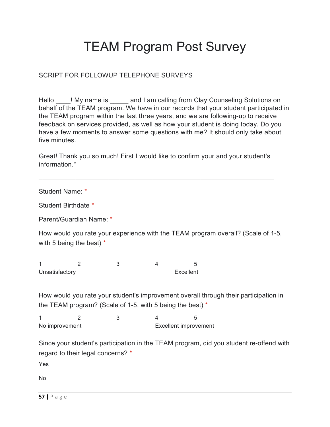# TEAM Program Post Survey

## SCRIPT FOR FOLLOWUP TELEPHONE SURVEYS

Hello ! My name is eand I am calling from Clay Counseling Solutions on behalf of the TEAM program. We have in our records that your student participated in the TEAM program within the last three years, and we are following-up to receive feedback on services provided, as well as how your student is doing today. Do you have a few moments to answer some questions with me? It should only take about five minutes

Great! Thank you so much! First I would like to confirm your and your student's information."

\_\_\_\_\_\_\_\_\_\_\_\_\_\_\_\_\_\_\_\_\_\_\_\_\_\_\_\_\_\_\_\_\_\_\_\_\_\_\_\_\_\_\_\_\_\_\_\_\_\_\_\_\_\_\_\_\_\_\_\_\_\_\_\_

Student Name: \*

Student Birthdate \*

Parent/Guardian Name: \*

How would you rate your experience with the TEAM program overall? (Scale of 1-5, with 5 being the best)  $*$ 

1 2 3 4 5 Unsatisfactory **Excellent** 

How would you rate your student's improvement overall through their participation in the TEAM program? (Scale of 1-5, with 5 being the best) \*

1 2 3 4 5 No improvement excellent improvement

Since your student's participation in the TEAM program, did you student re-offend with regard to their legal concerns? \*

Yes

No